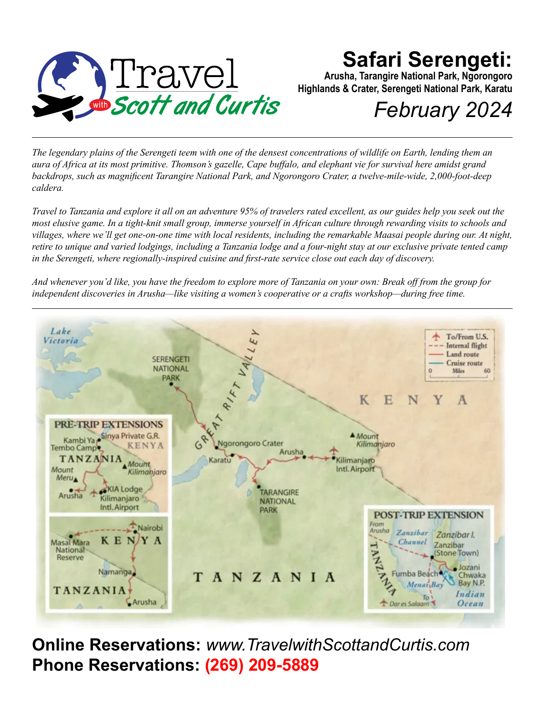

### **Safari Serengeti:**

**Arusha, Tarangire National Park, Ngorongoro Highlands & Crater, Serengeti National Park, Karatu**

# *February 2024*

*The legendary plains of the Serengeti teem with one of the densest concentrations of wildlife on Earth, lending them an aura of Africa at its most primitive. Thomson's gazelle, Cape buffalo, and elephant vie for survival here amidst grand backdrops, such as magnificent Tarangire National Park, and Ngorongoro Crater, a twelve-mile-wide, 2,000-foot-deep caldera.*

*Travel to Tanzania and explore it all on an adventure 95% of travelers rated excellent, as our guides help you seek out the most elusive game. In a tight-knit small group, immerse yourself in African culture through rewarding visits to schools and villages, where we'll get one-on-one time with local residents, including the remarkable Maasai people during our. At night, retire to unique and varied lodgings, including a Tanzania lodge and a four-night stay at our exclusive private tented camp in the Serengeti, where regionally-inspired cuisine and first-rate service close out each day of discovery.*

*And whenever you'd like, you have the freedom to explore more of Tanzania on your own: Break off from the group for independent discoveries in Arusha—like visiting a women's cooperative or a crafts workshop—during free time.*



**Online Reservations:** *www.TravelwithScottandCurtis.com* **Phone Reservations: (269) 209-5889**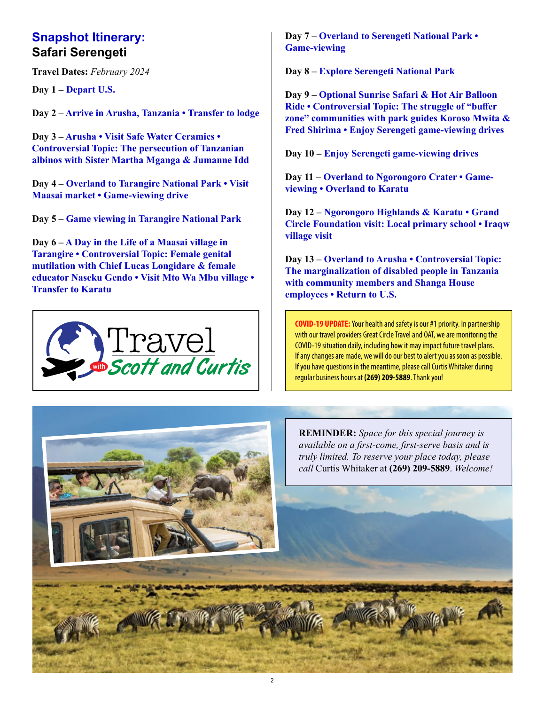#### **Snapshot Itinerary: Safari Serengeti**

**Travel Dates:** *February 2024*

**Day 1 – Depart U.S.**

**Day 2 – Arrive in Arusha, Tanzania • Transfer to lodge**

**Day 3 – Arusha • Visit Safe Water Ceramics • Controversial Topic: The persecution of Tanzanian albinos with Sister Martha Mganga & Jumanne Idd**

**Day 4 – Overland to Tarangire National Park • Visit Maasai market • Game-viewing drive**

**Day 5 – Game viewing in Tarangire National Park**

**Day 6 – A Day in the Life of a Maasai village in Tarangire • Controversial Topic: Female genital mutilation with Chief Lucas Longidare & female educator Naseku Gendo • Visit Mto Wa Mbu village • Transfer to Karatu**



**Day 7 – Overland to Serengeti National Park • Game-viewing**

**Day 8 – Explore Serengeti National Park**

**Day 9 – Optional Sunrise Safari & Hot Air Balloon Ride • Controversial Topic: The struggle of "buffer zone" communities with park guides Koroso Mwita & Fred Shirima • Enjoy Serengeti game-viewing drives**

**Day 10 – Enjoy Serengeti game-viewing drives**

**Day 11 – Overland to Ngorongoro Crater • Gameviewing • Overland to Karatu**

**Day 12 – Ngorongoro Highlands & Karatu • Grand Circle Foundation visit: Local primary school • Iraqw village visit**

**Day 13 – Overland to Arusha • Controversial Topic: The marginalization of disabled people in Tanzania with community members and Shanga House employees • Return to U.S.**

**COVID-19 UPDATE:** Your health and safety is our #1 priority. In partnership with our travel providers Great Circle Travel and OAT, we are monitoring the COVID-19 situation daily, including how it may impact future travel plans. If any changes are made, we will do our best to alert you as soon as possible. If you have questions in the meantime, please call Curtis Whitaker during regular business hours at **(269) 209-5889**. Thank you!